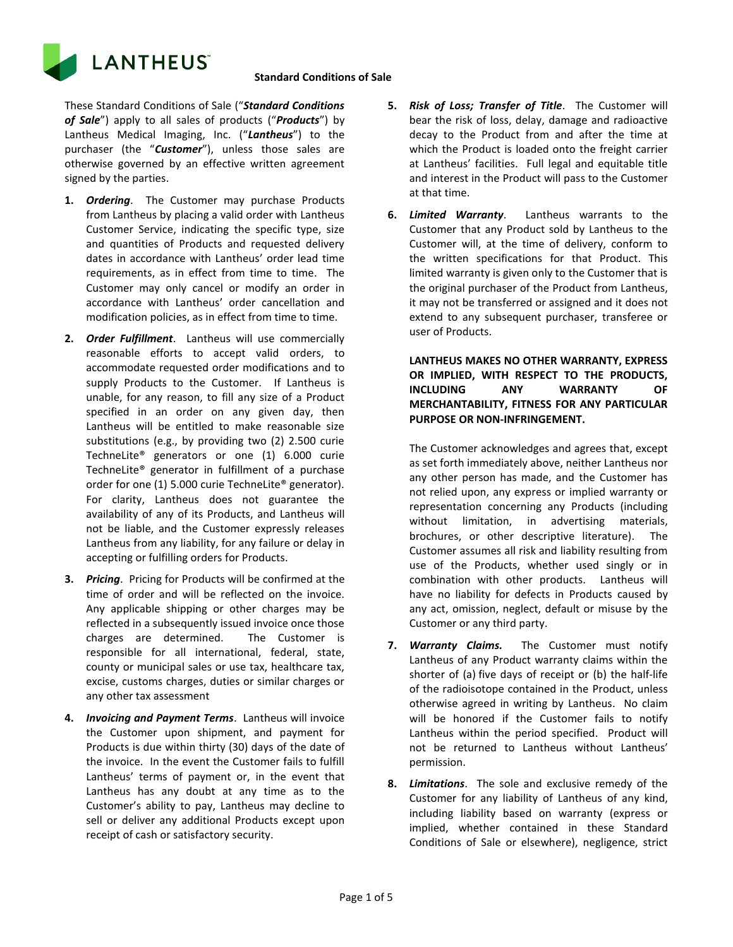

These Standard Conditions of Sale ("*Standard Conditions of Sale*") apply to all sales of products ("*Products*") by Lantheus Medical Imaging, Inc. ("*Lantheus*") to the purchaser (the "*Customer*"), unless those sales are otherwise governed by an effective written agreement signed by the parties.

- **1.** *Ordering*. The Customer may purchase Products from Lantheus by placing a valid order with Lantheus Customer Service, indicating the specific type, size and quantities of Products and requested delivery dates in accordance with Lantheus' order lead time requirements, as in effect from time to time. The Customer may only cancel or modify an order in accordance with Lantheus' order cancellation and modification policies, as in effect from time to time.
- **2.** *Order Fulfillment*. Lantheus will use commercially reasonable efforts to accept valid orders, to accommodate requested order modifications and to supply Products to the Customer. If Lantheus is unable, for any reason, to fill any size of a Product specified in an order on any given day, then Lantheus will be entitled to make reasonable size substitutions (e.g., by providing two (2) 2.500 curie TechneLite® generators or one (1) 6.000 curie TechneLite® generator in fulfillment of a purchase order for one (1) 5.000 curie TechneLite® generator). For clarity, Lantheus does not guarantee the availability of any of its Products, and Lantheus will not be liable, and the Customer expressly releases Lantheus from any liability, for any failure or delay in accepting or fulfilling orders for Products.
- **3.** *Pricing*. Pricing for Products will be confirmed at the time of order and will be reflected on the invoice. Any applicable shipping or other charges may be reflected in a subsequently issued invoice once those charges are determined. The Customer is responsible for all international, federal, state, county or municipal sales or use tax, healthcare tax, excise, customs charges, duties or similar charges or any other tax assessment
- **4.** *Invoicing and Payment Terms*. Lantheus will invoice the Customer upon shipment, and payment for Products is due within thirty (30) days of the date of the invoice. In the event the Customer fails to fulfill Lantheus' terms of payment or, in the event that Lantheus has any doubt at any time as to the Customer's ability to pay, Lantheus may decline to sell or deliver any additional Products except upon receipt of cash or satisfactory security.
- **5.** *Risk of Loss; Transfer of Title*. The Customer will bear the risk of loss, delay, damage and radioactive decay to the Product from and after the time at which the Product is loaded onto the freight carrier at Lantheus' facilities. Full legal and equitable title and interest in the Product will pass to the Customer at that time.
- **6.** *Limited Warranty*. Lantheus warrants to the Customer that any Product sold by Lantheus to the Customer will, at the time of delivery, conform to the written specifications for that Product. This limited warranty is given only to the Customer that is the original purchaser of the Product from Lantheus, it may not be transferred or assigned and it does not extend to any subsequent purchaser, transferee or user of Products.

**LANTHEUS MAKES NO OTHER WARRANTY, EXPRESS OR IMPLIED, WITH RESPECT TO THE PRODUCTS, INCLUDING ANY WARRANTY OF MERCHANTABILITY, FITNESS FOR ANY PARTICULAR PURPOSE OR NON-INFRINGEMENT.**

The Customer acknowledges and agrees that, except as set forth immediately above, neither Lantheus nor any other person has made, and the Customer has not relied upon, any express or implied warranty or representation concerning any Products (including without limitation, in advertising materials, brochures, or other descriptive literature). The Customer assumes all risk and liability resulting from use of the Products, whether used singly or in combination with other products. Lantheus will have no liability for defects in Products caused by any act, omission, neglect, default or misuse by the Customer or any third party.

- **7.** *Warranty Claims.* The Customer must notify Lantheus of any Product warranty claims within the shorter of (a) five days of receipt or (b) the half-life of the radioisotope contained in the Product, unless otherwise agreed in writing by Lantheus. No claim will be honored if the Customer fails to notify Lantheus within the period specified. Product will not be returned to Lantheus without Lantheus' permission.
- **8.** *Limitations*. The sole and exclusive remedy of the Customer for any liability of Lantheus of any kind, including liability based on warranty (express or implied, whether contained in these Standard Conditions of Sale or elsewhere), negligence, strict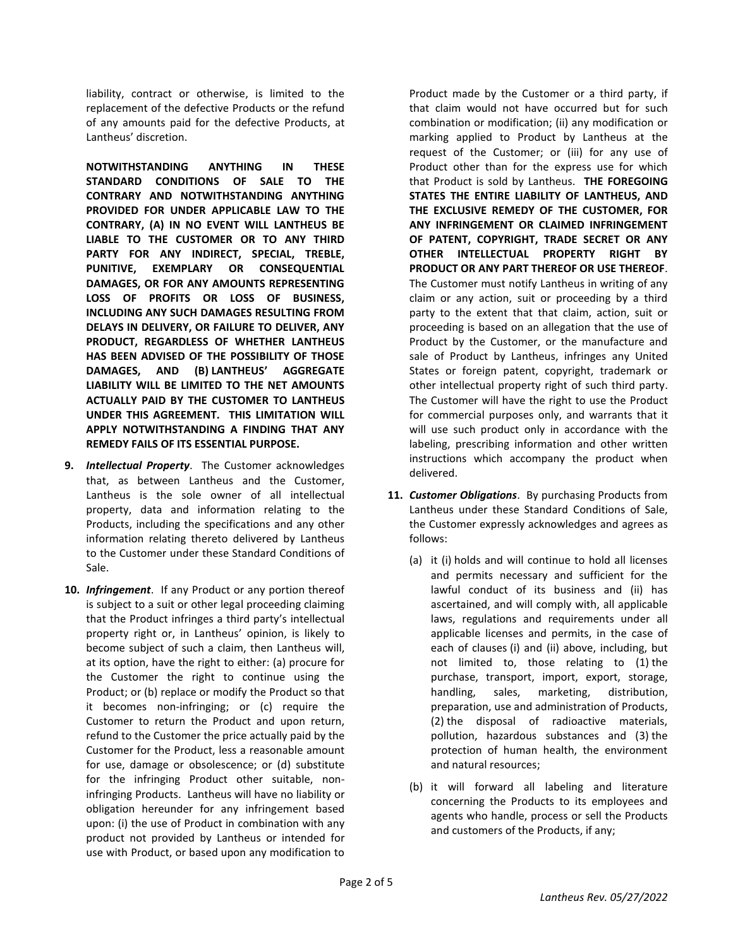liability, contract or otherwise, is limited to the replacement of the defective Products or the refund of any amounts paid for the defective Products, at Lantheus' discretion.

**NOTWITHSTANDING ANYTHING IN THESE STANDARD CONDITIONS OF SALE TO THE CONTRARY AND NOTWITHSTANDING ANYTHING PROVIDED FOR UNDER APPLICABLE LAW TO THE CONTRARY, (A) IN NO EVENT WILL LANTHEUS BE LIABLE TO THE CUSTOMER OR TO ANY THIRD PARTY FOR ANY INDIRECT, SPECIAL, TREBLE, PUNITIVE, EXEMPLARY OR CONSEQUENTIAL DAMAGES, OR FOR ANY AMOUNTS REPRESENTING LOSS OF PROFITS OR LOSS OF BUSINESS, INCLUDING ANY SUCH DAMAGES RESULTING FROM DELAYS IN DELIVERY, OR FAILURE TO DELIVER, ANY PRODUCT, REGARDLESS OF WHETHER LANTHEUS HAS BEEN ADVISED OF THE POSSIBILITY OF THOSE DAMAGES, AND (B) LANTHEUS' AGGREGATE LIABILITY WILL BE LIMITED TO THE NET AMOUNTS ACTUALLY PAID BY THE CUSTOMER TO LANTHEUS UNDER THIS AGREEMENT. THIS LIMITATION WILL APPLY NOTWITHSTANDING A FINDING THAT ANY REMEDY FAILS OF ITS ESSENTIAL PURPOSE.** 

- **9.** *Intellectual Property*. The Customer acknowledges that, as between Lantheus and the Customer, Lantheus is the sole owner of all intellectual property, data and information relating to the Products, including the specifications and any other information relating thereto delivered by Lantheus to the Customer under these Standard Conditions of Sale.
- **10.** *Infringement*. If any Product or any portion thereof is subject to a suit or other legal proceeding claiming that the Product infringes a third party's intellectual property right or, in Lantheus' opinion, is likely to become subject of such a claim, then Lantheus will, at its option, have the right to either: (a) procure for the Customer the right to continue using the Product; or (b) replace or modify the Product so that it becomes non-infringing; or (c) require the Customer to return the Product and upon return, refund to the Customer the price actually paid by the Customer for the Product, less a reasonable amount for use, damage or obsolescence; or (d) substitute for the infringing Product other suitable, noninfringing Products. Lantheus will have no liability or obligation hereunder for any infringement based upon: (i) the use of Product in combination with any product not provided by Lantheus or intended for use with Product, or based upon any modification to

Product made by the Customer or a third party, if that claim would not have occurred but for such combination or modification; (ii) any modification or marking applied to Product by Lantheus at the request of the Customer; or (iii) for any use of Product other than for the express use for which that Product is sold by Lantheus. **THE FOREGOING STATES THE ENTIRE LIABILITY OF LANTHEUS, AND THE EXCLUSIVE REMEDY OF THE CUSTOMER, FOR ANY INFRINGEMENT OR CLAIMED INFRINGEMENT OF PATENT, COPYRIGHT, TRADE SECRET OR ANY OTHER INTELLECTUAL PROPERTY RIGHT BY PRODUCT OR ANY PART THEREOF OR USE THEREOF**. The Customer must notify Lantheus in writing of any claim or any action, suit or proceeding by a third party to the extent that that claim, action, suit or proceeding is based on an allegation that the use of Product by the Customer, or the manufacture and sale of Product by Lantheus, infringes any United States or foreign patent, copyright, trademark or other intellectual property right of such third party. The Customer will have the right to use the Product for commercial purposes only, and warrants that it will use such product only in accordance with the labeling, prescribing information and other written instructions which accompany the product when delivered.

- **11.** *Customer Obligations*. By purchasing Products from Lantheus under these Standard Conditions of Sale, the Customer expressly acknowledges and agrees as follows:
	- (a) it (i) holds and will continue to hold all licenses and permits necessary and sufficient for the lawful conduct of its business and (ii) has ascertained, and will comply with, all applicable laws, regulations and requirements under all applicable licenses and permits, in the case of each of clauses (i) and (ii) above, including, but not limited to, those relating to (1) the purchase, transport, import, export, storage, handling, sales, marketing, distribution, preparation, use and administration of Products, (2) the disposal of radioactive materials, pollution, hazardous substances and (3) the protection of human health, the environment and natural resources;
	- (b) it will forward all labeling and literature concerning the Products to its employees and agents who handle, process or sell the Products and customers of the Products, if any;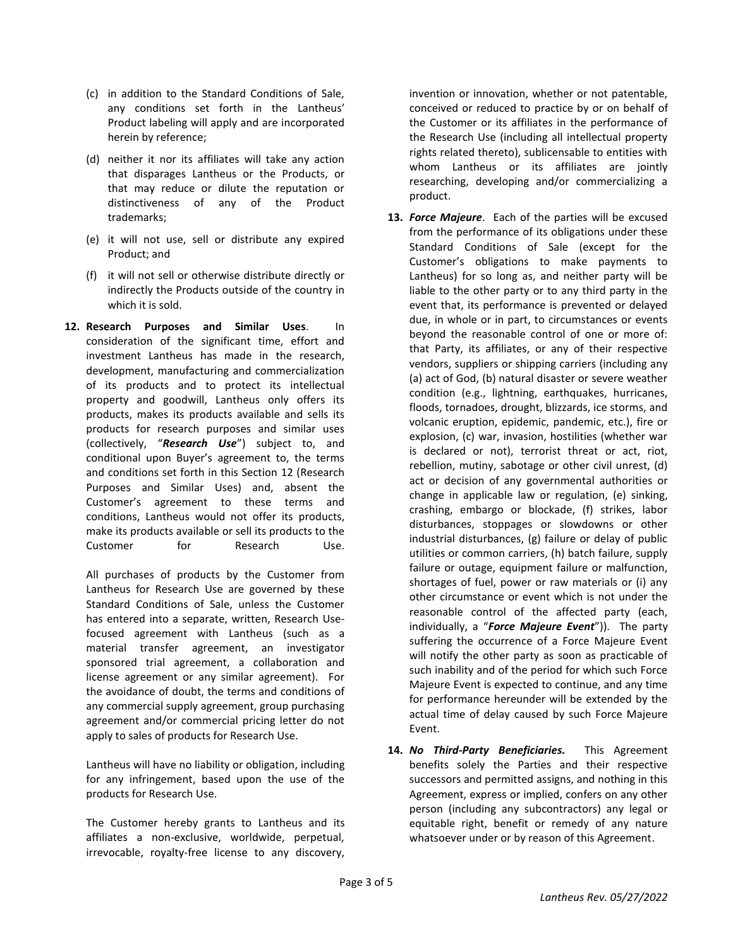- (c) in addition to the Standard Conditions of Sale, any conditions set forth in the Lantheus' Product labeling will apply and are incorporated herein by reference;
- (d) neither it nor its affiliates will take any action that disparages Lantheus or the Products, or that may reduce or dilute the reputation or distinctiveness of any of the Product trademarks;
- (e) it will not use, sell or distribute any expired Product; and
- (f) it will not sell or otherwise distribute directly or indirectly the Products outside of the country in which it is sold.
- **12. Research Purposes and Similar Uses**. In consideration of the significant time, effort and investment Lantheus has made in the research, development, manufacturing and commercialization of its products and to protect its intellectual property and goodwill, Lantheus only offers its products, makes its products available and sells its products for research purposes and similar uses (collectively, "*Research Use*") subject to, and conditional upon Buyer's agreement to, the terms and conditions set forth in this Section 12 (Research Purposes and Similar Uses) and, absent the Customer's agreement to these terms and conditions, Lantheus would not offer its products, make its products available or sell its products to the Customer for Research Use.

All purchases of products by the Customer from Lantheus for Research Use are governed by these Standard Conditions of Sale, unless the Customer has entered into a separate, written, Research Usefocused agreement with Lantheus (such as a material transfer agreement, an investigator sponsored trial agreement, a collaboration and license agreement or any similar agreement). For the avoidance of doubt, the terms and conditions of any commercial supply agreement, group purchasing agreement and/or commercial pricing letter do not apply to sales of products for Research Use.

Lantheus will have no liability or obligation, including for any infringement, based upon the use of the products for Research Use.

The Customer hereby grants to Lantheus and its affiliates a non-exclusive, worldwide, perpetual, irrevocable, royalty-free license to any discovery,

invention or innovation, whether or not patentable, conceived or reduced to practice by or on behalf of the Customer or its affiliates in the performance of the Research Use (including all intellectual property rights related thereto), sublicensable to entities with whom Lantheus or its affiliates are jointly researching, developing and/or commercializing a product.

- **13.** *Force Majeure*. Each of the parties will be excused from the performance of its obligations under these Standard Conditions of Sale (except for the Customer's obligations to make payments to Lantheus) for so long as, and neither party will be liable to the other party or to any third party in the event that, its performance is prevented or delayed due, in whole or in part, to circumstances or events beyond the reasonable control of one or more of: that Party, its affiliates, or any of their respective vendors, suppliers or shipping carriers (including any (a) act of God, (b) natural disaster or severe weather condition (e.g., lightning, earthquakes, hurricanes, floods, tornadoes, drought, blizzards, ice storms, and volcanic eruption, epidemic, pandemic, etc.), fire or explosion, (c) war, invasion, hostilities (whether war is declared or not), terrorist threat or act, riot, rebellion, mutiny, sabotage or other civil unrest, (d) act or decision of any governmental authorities or change in applicable law or regulation, (e) sinking, crashing, embargo or blockade, (f) strikes, labor disturbances, stoppages or slowdowns or other industrial disturbances, (g) failure or delay of public utilities or common carriers, (h) batch failure, supply failure or outage, equipment failure or malfunction, shortages of fuel, power or raw materials or (i) any other circumstance or event which is not under the reasonable control of the affected party (each, individually, a "*Force Majeure Event*")). The party suffering the occurrence of a Force Majeure Event will notify the other party as soon as practicable of such inability and of the period for which such Force Majeure Event is expected to continue, and any time for performance hereunder will be extended by the actual time of delay caused by such Force Majeure Event.
- **14.** *No Third-Party Beneficiaries.* This Agreement benefits solely the Parties and their respective successors and permitted assigns, and nothing in this Agreement, express or implied, confers on any other person (including any subcontractors) any legal or equitable right, benefit or remedy of any nature whatsoever under or by reason of this Agreement.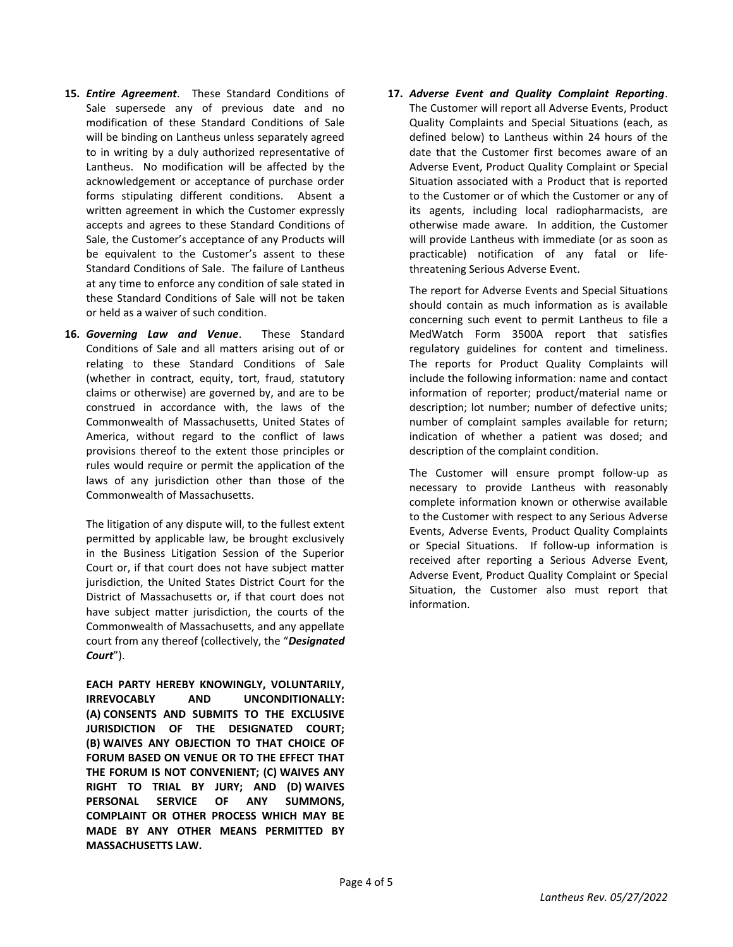- **15.** *Entire Agreement*. These Standard Conditions of Sale supersede any of previous date and no modification of these Standard Conditions of Sale will be binding on Lantheus unless separately agreed to in writing by a duly authorized representative of Lantheus. No modification will be affected by the acknowledgement or acceptance of purchase order forms stipulating different conditions. Absent a written agreement in which the Customer expressly accepts and agrees to these Standard Conditions of Sale, the Customer's acceptance of any Products will be equivalent to the Customer's assent to these Standard Conditions of Sale. The failure of Lantheus at any time to enforce any condition of sale stated in these Standard Conditions of Sale will not be taken or held as a waiver of such condition.
- **16.** *Governing Law and Venue*. These Standard Conditions of Sale and all matters arising out of or relating to these Standard Conditions of Sale (whether in contract, equity, tort, fraud, statutory claims or otherwise) are governed by, and are to be construed in accordance with, the laws of the Commonwealth of Massachusetts, United States of America, without regard to the conflict of laws provisions thereof to the extent those principles or rules would require or permit the application of the laws of any jurisdiction other than those of the Commonwealth of Massachusetts.

The litigation of any dispute will, to the fullest extent permitted by applicable law, be brought exclusively in the Business Litigation Session of the Superior Court or, if that court does not have subject matter jurisdiction, the United States District Court for the District of Massachusetts or, if that court does not have subject matter jurisdiction, the courts of the Commonwealth of Massachusetts, and any appellate court from any thereof (collectively, the "*Designated Court*").

**EACH PARTY HEREBY KNOWINGLY, VOLUNTARILY, IRREVOCABLY AND UNCONDITIONALLY: (A) CONSENTS AND SUBMITS TO THE EXCLUSIVE JURISDICTION OF THE DESIGNATED COURT; (B) WAIVES ANY OBJECTION TO THAT CHOICE OF FORUM BASED ON VENUE OR TO THE EFFECT THAT THE FORUM IS NOT CONVENIENT; (C) WAIVES ANY RIGHT TO TRIAL BY JURY; AND (D) WAIVES PERSONAL SERVICE OF ANY SUMMONS, COMPLAINT OR OTHER PROCESS WHICH MAY BE MADE BY ANY OTHER MEANS PERMITTED BY MASSACHUSETTS LAW.**

**17.** *Adverse Event and Quality Complaint Reporting*. The Customer will report all Adverse Events, Product Quality Complaints and Special Situations (each, as defined below) to Lantheus within 24 hours of the date that the Customer first becomes aware of an Adverse Event, Product Quality Complaint or Special Situation associated with a Product that is reported to the Customer or of which the Customer or any of its agents, including local radiopharmacists, are otherwise made aware. In addition, the Customer will provide Lantheus with immediate (or as soon as practicable) notification of any fatal or lifethreatening Serious Adverse Event.

The report for Adverse Events and Special Situations should contain as much information as is available concerning such event to permit Lantheus to file a MedWatch Form 3500A report that satisfies regulatory guidelines for content and timeliness. The reports for Product Quality Complaints will include the following information: name and contact information of reporter; product/material name or description; lot number; number of defective units; number of complaint samples available for return; indication of whether a patient was dosed; and description of the complaint condition.

The Customer will ensure prompt follow-up as necessary to provide Lantheus with reasonably complete information known or otherwise available to the Customer with respect to any Serious Adverse Events, Adverse Events, Product Quality Complaints or Special Situations. If follow-up information is received after reporting a Serious Adverse Event, Adverse Event, Product Quality Complaint or Special Situation, the Customer also must report that information.